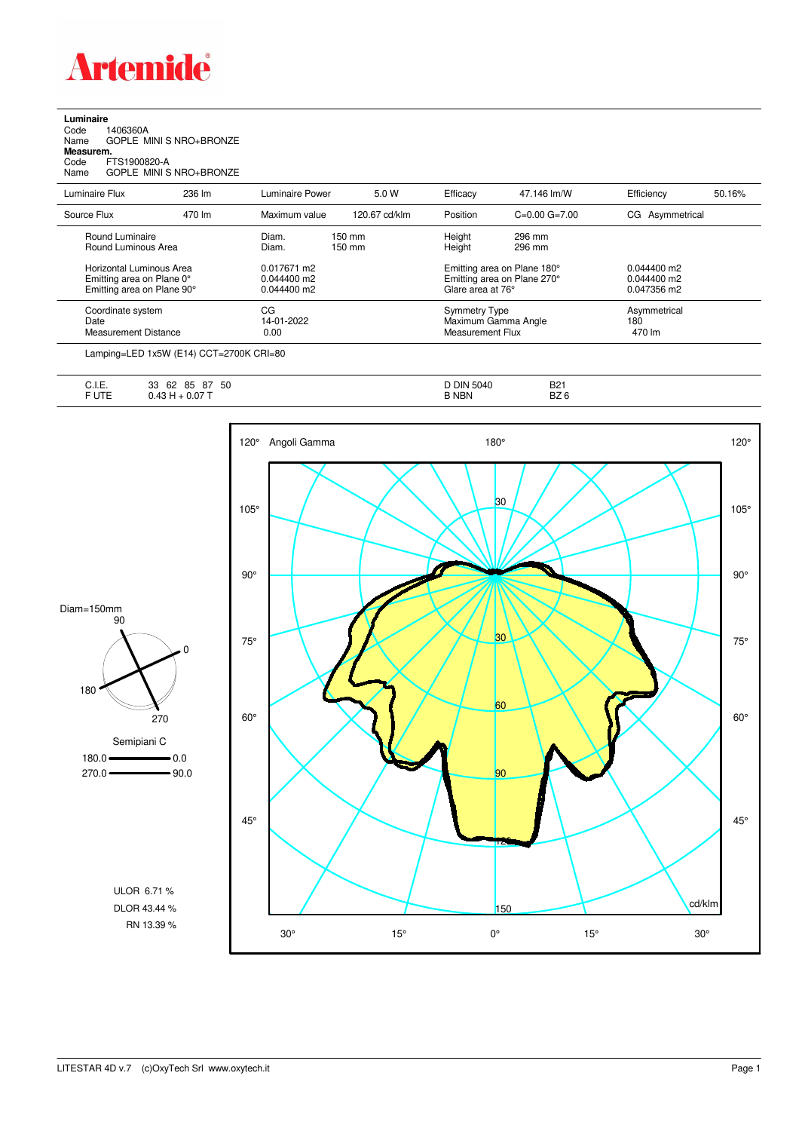

**Luminaire**<br>Code 1<br>Name ( Code 1406360A Name GOPLE MINI S NRO+BRONZE **Measurem.** Code FTS1900820-A Name GOPLE MINI S NRO+BRONZE

| Luminaire Flux                                                                      | 236 lm | Luminaire Power                               | 5.0 W                                | Efficacy          | 47.146 lm/W                                                     | Efficiency                                    | 50.16%                        |  |
|-------------------------------------------------------------------------------------|--------|-----------------------------------------------|--------------------------------------|-------------------|-----------------------------------------------------------------|-----------------------------------------------|-------------------------------|--|
| Source Flux                                                                         | 470 lm | Maximum value                                 | 120.67 cd/klm                        | Position          | $C=0.00$ $G=7.00$                                               | CG Asymmetrical                               |                               |  |
| Round Luminaire<br>Round Luminous Area                                              |        | Diam.<br>Diam.                                | $150 \text{ mm}$<br>$150 \text{ mm}$ | Height<br>Height  | 296 mm<br>296 mm                                                |                                               |                               |  |
| Horizontal Luminous Area<br>Emitting area on Plane 0°<br>Emitting area on Plane 90° |        | 0.017671 m2<br>$0.044400$ m2<br>$0.044400$ m2 |                                      | Glare area at 76° | Emitting area on Plane 180°<br>Emitting area on Plane 270°      | $0.044400$ m2<br>$0.044400$ m2<br>0.047356 m2 |                               |  |
| Coordinate system<br>Date<br><b>Measurement Distance</b>                            |        | CG<br>14-01-2022<br>0.00                      |                                      |                   | <b>Symmetry Type</b><br>Maximum Gamma Angle<br>Measurement Flux |                                               | Asymmetrical<br>180<br>470 lm |  |

Lamping=LED 1x5W (E14) CCT=2700K CRI=80

| нF<br>◡……  | 50<br>85<br>$\sim$<br>62<br>מפ<br>$\circ$<br>ບບ | <b>DIN</b><br>5040 | <b>B21</b>      |
|------------|-------------------------------------------------|--------------------|-----------------|
| ---<br>◡੶∟ | 0.077<br>$\mathbf{r}$                           | <b>NBN</b>         | BZ <sub>6</sub> |